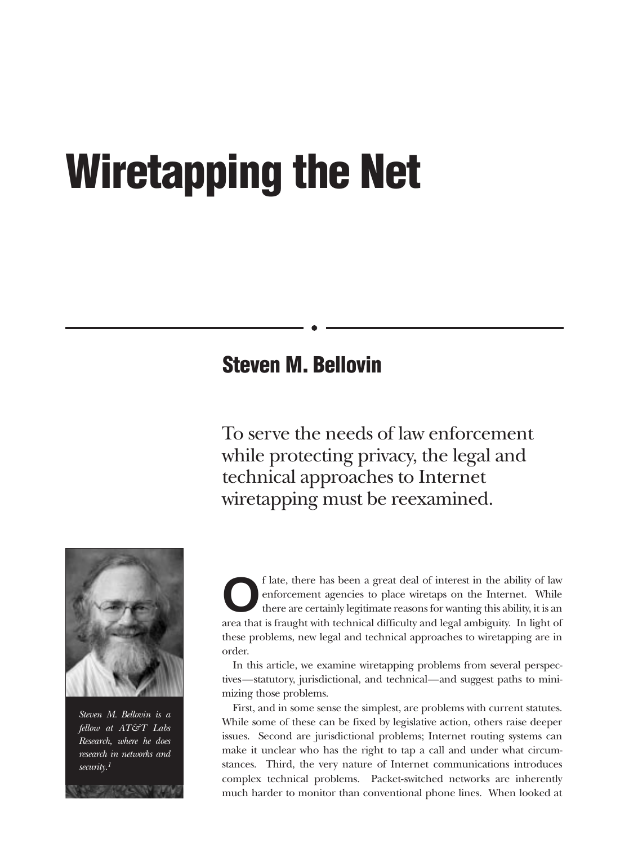# **Wiretapping the Net**

### **Steven M. Bellovin**

To serve the needs of law enforcement while protecting privacy, the legal and technical approaches to Internet wiretapping must be reexamined.



*Steven M. Bellovin is a fellow at AT&T Labs Research, where he does research in networks and security.1*

f late, there has been a great deal of interest in the ability of law enforcement agencies to place wiretaps on the Internet. While there are certainly legitimate reasons for wanting this ability, it is an enforcement agencies to place wiretaps on the Internet. While there are certainly legitimate reasons for wanting this ability, it is an area that is fraught with technical difficulty and legal ambiguity. In light of these problems, new legal and technical approaches to wiretapping are in order.

In this article, we examine wiretapping problems from several perspectives—statutory, jurisdictional, and technical—and suggest paths to minimizing those problems.

First, and in some sense the simplest, are problems with current statutes. While some of these can be fixed by legislative action, others raise deeper issues. Second are jurisdictional problems; Internet routing systems can make it unclear who has the right to tap a call and under what circumstances. Third, the very nature of Internet communications introduces complex technical problems. Packet-switched networks are inherently much harder to monitor than conventional phone lines. When looked at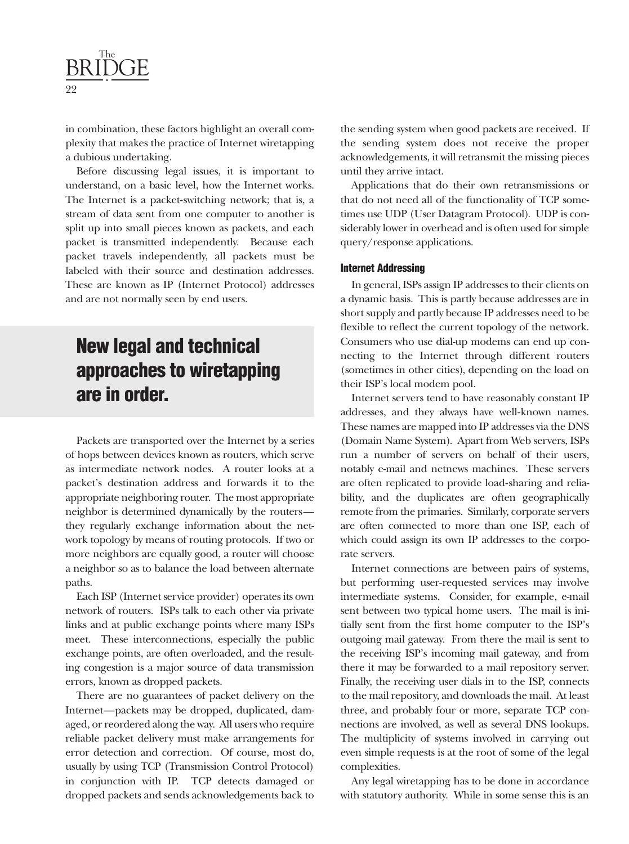

in combination, these factors highlight an overall complexity that makes the practice of Internet wiretapping a dubious undertaking.

Before discussing legal issues, it is important to understand, on a basic level, how the Internet works. The Internet is a packet-switching network; that is, a stream of data sent from one computer to another is split up into small pieces known as packets, and each packet is transmitted independently. Because each packet travels independently, all packets must be labeled with their source and destination addresses. These are known as IP (Internet Protocol) addresses and are not normally seen by end users.

# **New legal and technical approaches to wiretapping are in order.**

Packets are transported over the Internet by a series of hops between devices known as routers, which serve as intermediate network nodes. A router looks at a packet's destination address and forwards it to the appropriate neighboring router. The most appropriate neighbor is determined dynamically by the routers they regularly exchange information about the network topology by means of routing protocols. If two or more neighbors are equally good, a router will choose a neighbor so as to balance the load between alternate paths.

Each ISP (Internet service provider) operates its own network of routers. ISPs talk to each other via private links and at public exchange points where many ISPs meet. These interconnections, especially the public exchange points, are often overloaded, and the resulting congestion is a major source of data transmission errors, known as dropped packets.

There are no guarantees of packet delivery on the Internet—packets may be dropped, duplicated, damaged, or reordered along the way. All users who require reliable packet delivery must make arrangements for error detection and correction. Of course, most do, usually by using TCP (Transmission Control Protocol) in conjunction with IP. TCP detects damaged or dropped packets and sends acknowledgements back to

the sending system when good packets are received. If the sending system does not receive the proper acknowledgements, it will retransmit the missing pieces until they arrive intact.

Applications that do their own retransmissions or that do not need all of the functionality of TCP sometimes use UDP (User Datagram Protocol). UDP is considerably lower in overhead and is often used for simple query/response applications.

### **Internet Addressing**

In general, ISPs assign IP addresses to their clients on a dynamic basis. This is partly because addresses are in short supply and partly because IP addresses need to be flexible to reflect the current topology of the network. Consumers who use dial-up modems can end up connecting to the Internet through different routers (sometimes in other cities), depending on the load on their ISP's local modem pool.

Internet servers tend to have reasonably constant IP addresses, and they always have well-known names. These names are mapped into IP addresses via the DNS (Domain Name System). Apart from Web servers, ISPs run a number of servers on behalf of their users, notably e-mail and netnews machines. These servers are often replicated to provide load-sharing and reliability, and the duplicates are often geographically remote from the primaries. Similarly, corporate servers are often connected to more than one ISP, each of which could assign its own IP addresses to the corporate servers.

Internet connections are between pairs of systems, but performing user-requested services may involve intermediate systems. Consider, for example, e-mail sent between two typical home users. The mail is initially sent from the first home computer to the ISP's outgoing mail gateway. From there the mail is sent to the receiving ISP's incoming mail gateway, and from there it may be forwarded to a mail repository server. Finally, the receiving user dials in to the ISP, connects to the mail repository, and downloads the mail. At least three, and probably four or more, separate TCP connections are involved, as well as several DNS lookups. The multiplicity of systems involved in carrying out even simple requests is at the root of some of the legal complexities.

Any legal wiretapping has to be done in accordance with statutory authority. While in some sense this is an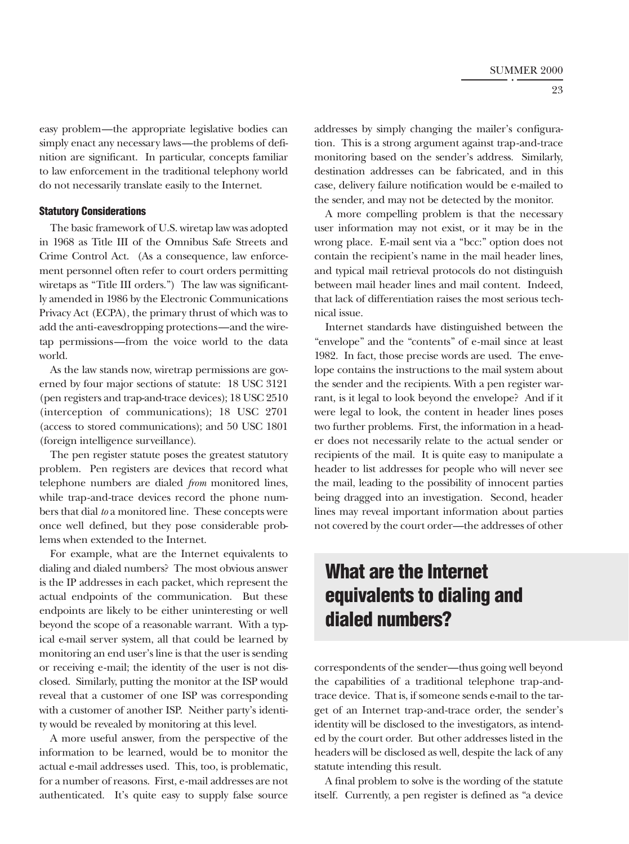23

easy problem—the appropriate legislative bodies can simply enact any necessary laws—the problems of definition are significant. In particular, concepts familiar to law enforcement in the traditional telephony world do not necessarily translate easily to the Internet.

### **Statutory Considerations**

The basic framework of U.S. wiretap law was adopted in 1968 as Title III of the Omnibus Safe Streets and Crime Control Act. (As a consequence, law enforcement personnel often refer to court orders permitting wiretaps as "Title III orders.") The law was significantly amended in 1986 by the Electronic Communications Privacy Act (ECPA), the primary thrust of which was to add the anti-eavesdropping protections—and the wiretap permissions—from the voice world to the data world.

As the law stands now, wiretrap permissions are governed by four major sections of statute: 18 USC 3121 (pen registers and trap-and-trace devices); 18 USC 2510 (interception of communications); 18 USC 2701 (access to stored communications); and 50 USC 1801 (foreign intelligence surveillance).

The pen register statute poses the greatest statutory problem. Pen registers are devices that record what telephone numbers are dialed *from* monitored lines, while trap-and-trace devices record the phone numbers that dial *to* a monitored line. These concepts were once well defined, but they pose considerable problems when extended to the Internet.

For example, what are the Internet equivalents to dialing and dialed numbers? The most obvious answer is the IP addresses in each packet, which represent the actual endpoints of the communication. But these endpoints are likely to be either uninteresting or well beyond the scope of a reasonable warrant. With a typical e-mail server system, all that could be learned by monitoring an end user's line is that the user is sending or receiving e-mail; the identity of the user is not disclosed. Similarly, putting the monitor at the ISP would reveal that a customer of one ISP was corresponding with a customer of another ISP. Neither party's identity would be revealed by monitoring at this level.

A more useful answer, from the perspective of the information to be learned, would be to monitor the actual e-mail addresses used. This, too, is problematic, for a number of reasons. First, e-mail addresses are not authenticated. It's quite easy to supply false source addresses by simply changing the mailer's configuration. This is a strong argument against trap-and-trace monitoring based on the sender's address. Similarly, destination addresses can be fabricated, and in this case, delivery failure notification would be e-mailed to the sender, and may not be detected by the monitor.

A more compelling problem is that the necessary user information may not exist, or it may be in the wrong place. E-mail sent via a "bcc:" option does not contain the recipient's name in the mail header lines, and typical mail retrieval protocols do not distinguish between mail header lines and mail content. Indeed, that lack of differentiation raises the most serious technical issue.

Internet standards have distinguished between the "envelope" and the "contents" of e-mail since at least 1982. In fact, those precise words are used. The envelope contains the instructions to the mail system about the sender and the recipients. With a pen register warrant, is it legal to look beyond the envelope? And if it were legal to look, the content in header lines poses two further problems. First, the information in a header does not necessarily relate to the actual sender or recipients of the mail. It is quite easy to manipulate a header to list addresses for people who will never see the mail, leading to the possibility of innocent parties being dragged into an investigation. Second, header lines may reveal important information about parties not covered by the court order—the addresses of other

# **What are the Internet equivalents to dialing and dialed numbers?**

correspondents of the sender—thus going well beyond the capabilities of a traditional telephone trap-andtrace device. That is, if someone sends e-mail to the target of an Internet trap-and-trace order, the sender's identity will be disclosed to the investigators, as intended by the court order. But other addresses listed in the headers will be disclosed as well, despite the lack of any statute intending this result.

A final problem to solve is the wording of the statute itself. Currently, a pen register is defined as "a device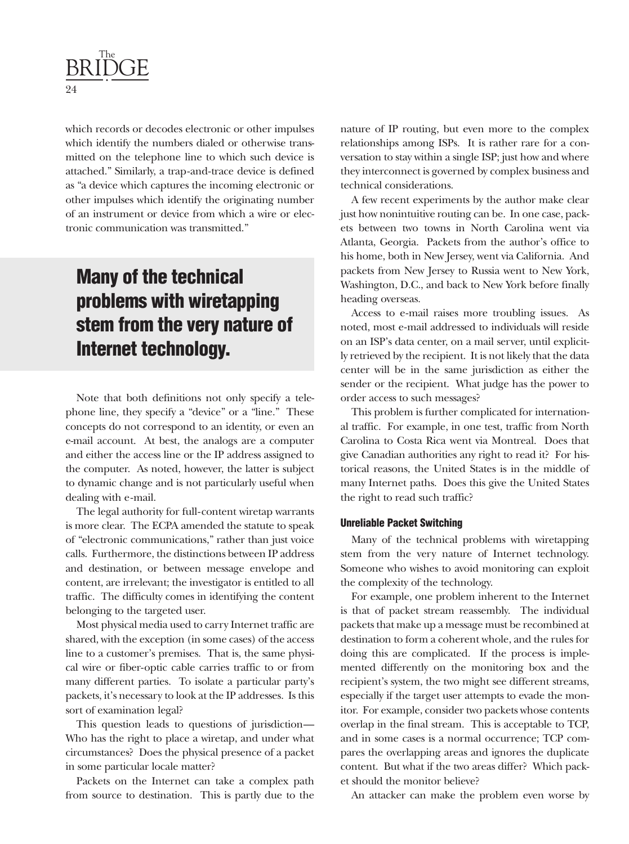

which records or decodes electronic or other impulses which identify the numbers dialed or otherwise transmitted on the telephone line to which such device is attached." Similarly, a trap-and-trace device is defined as "a device which captures the incoming electronic or other impulses which identify the originating number of an instrument or device from which a wire or electronic communication was transmitted."

# **Many of the technical problems with wiretapping stem from the very nature of Internet technology.**

Note that both definitions not only specify a telephone line, they specify a "device" or a "line." These concepts do not correspond to an identity, or even an e-mail account. At best, the analogs are a computer and either the access line or the IP address assigned to the computer. As noted, however, the latter is subject to dynamic change and is not particularly useful when dealing with e-mail.

The legal authority for full-content wiretap warrants is more clear. The ECPA amended the statute to speak of "electronic communications," rather than just voice calls. Furthermore, the distinctions between IP address and destination, or between message envelope and content, are irrelevant; the investigator is entitled to all traffic. The difficulty comes in identifying the content belonging to the targeted user.

Most physical media used to carry Internet traffic are shared, with the exception (in some cases) of the access line to a customer's premises. That is, the same physical wire or fiber-optic cable carries traffic to or from many different parties. To isolate a particular party's packets, it's necessary to look at the IP addresses. Is this sort of examination legal?

This question leads to questions of jurisdiction— Who has the right to place a wiretap, and under what circumstances? Does the physical presence of a packet in some particular locale matter?

Packets on the Internet can take a complex path from source to destination. This is partly due to the nature of IP routing, but even more to the complex relationships among ISPs. It is rather rare for a conversation to stay within a single ISP; just how and where they interconnect is governed by complex business and technical considerations.

A few recent experiments by the author make clear just how nonintuitive routing can be. In one case, packets between two towns in North Carolina went via Atlanta, Georgia. Packets from the author's office to his home, both in New Jersey, went via California. And packets from New Jersey to Russia went to New York, Washington, D.C., and back to New York before finally heading overseas.

Access to e-mail raises more troubling issues. As noted, most e-mail addressed to individuals will reside on an ISP's data center, on a mail server, until explicitly retrieved by the recipient. It is not likely that the data center will be in the same jurisdiction as either the sender or the recipient. What judge has the power to order access to such messages?

This problem is further complicated for international traffic. For example, in one test, traffic from North Carolina to Costa Rica went via Montreal. Does that give Canadian authorities any right to read it? For historical reasons, the United States is in the middle of many Internet paths. Does this give the United States the right to read such traffic?

### **Unreliable Packet Switching**

Many of the technical problems with wiretapping stem from the very nature of Internet technology. Someone who wishes to avoid monitoring can exploit the complexity of the technology.

For example, one problem inherent to the Internet is that of packet stream reassembly. The individual packets that make up a message must be recombined at destination to form a coherent whole, and the rules for doing this are complicated. If the process is implemented differently on the monitoring box and the recipient's system, the two might see different streams, especially if the target user attempts to evade the monitor. For example, consider two packets whose contents overlap in the final stream. This is acceptable to TCP, and in some cases is a normal occurrence; TCP compares the overlapping areas and ignores the duplicate content. But what if the two areas differ? Which packet should the monitor believe?

An attacker can make the problem even worse by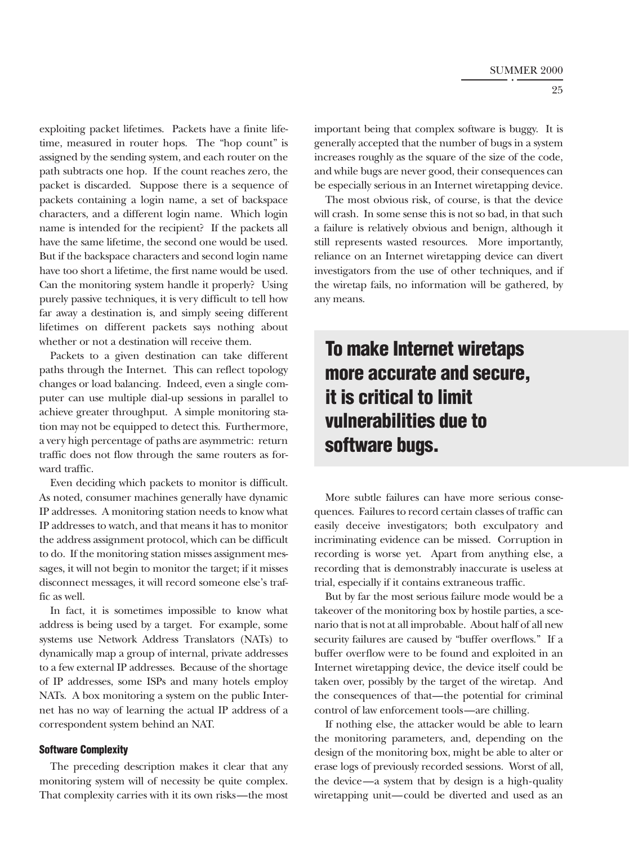25

exploiting packet lifetimes. Packets have a finite lifetime, measured in router hops. The "hop count" is assigned by the sending system, and each router on the path subtracts one hop. If the count reaches zero, the packet is discarded. Suppose there is a sequence of packets containing a login name, a set of backspace characters, and a different login name. Which login name is intended for the recipient? If the packets all have the same lifetime, the second one would be used. But if the backspace characters and second login name have too short a lifetime, the first name would be used. Can the monitoring system handle it properly? Using purely passive techniques, it is very difficult to tell how far away a destination is, and simply seeing different lifetimes on different packets says nothing about whether or not a destination will receive them.

Packets to a given destination can take different paths through the Internet. This can reflect topology changes or load balancing. Indeed, even a single computer can use multiple dial-up sessions in parallel to achieve greater throughput. A simple monitoring station may not be equipped to detect this. Furthermore, a very high percentage of paths are asymmetric: return traffic does not flow through the same routers as forward traffic.

Even deciding which packets to monitor is difficult. As noted, consumer machines generally have dynamic IP addresses. A monitoring station needs to know what IP addresses to watch, and that means it has to monitor the address assignment protocol, which can be difficult to do. If the monitoring station misses assignment messages, it will not begin to monitor the target; if it misses disconnect messages, it will record someone else's traffic as well.

In fact, it is sometimes impossible to know what address is being used by a target. For example, some systems use Network Address Translators (NATs) to dynamically map a group of internal, private addresses to a few external IP addresses. Because of the shortage of IP addresses, some ISPs and many hotels employ NATs. A box monitoring a system on the public Internet has no way of learning the actual IP address of a correspondent system behind an NAT.

#### **Software Complexity**

The preceding description makes it clear that any monitoring system will of necessity be quite complex. That complexity carries with it its own risks—the most important being that complex software is buggy. It is generally accepted that the number of bugs in a system increases roughly as the square of the size of the code, and while bugs are never good, their consequences can be especially serious in an Internet wiretapping device.

The most obvious risk, of course, is that the device will crash. In some sense this is not so bad, in that such a failure is relatively obvious and benign, although it still represents wasted resources. More importantly, reliance on an Internet wiretapping device can divert investigators from the use of other techniques, and if the wiretap fails, no information will be gathered, by any means.

# **To make Internet wiretaps more accurate and secure, it is critical to limit vulnerabilities due to software bugs.**

More subtle failures can have more serious consequences. Failures to record certain classes of traffic can easily deceive investigators; both exculpatory and incriminating evidence can be missed. Corruption in recording is worse yet. Apart from anything else, a recording that is demonstrably inaccurate is useless at trial, especially if it contains extraneous traffic.

But by far the most serious failure mode would be a takeover of the monitoring box by hostile parties, a scenario that is not at all improbable. About half of all new security failures are caused by "buffer overflows." If a buffer overflow were to be found and exploited in an Internet wiretapping device, the device itself could be taken over, possibly by the target of the wiretap. And the consequences of that—the potential for criminal control of law enforcement tools—are chilling.

If nothing else, the attacker would be able to learn the monitoring parameters, and, depending on the design of the monitoring box, might be able to alter or erase logs of previously recorded sessions. Worst of all, the device—a system that by design is a high-quality wiretapping unit—could be diverted and used as an